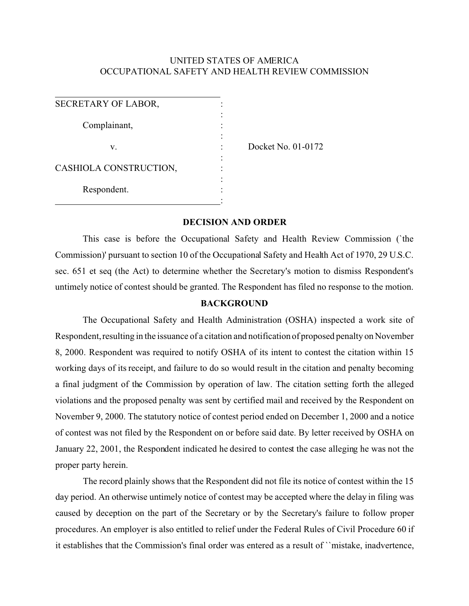## UNITED STATES OF AMERICA OCCUPATIONAL SAFETY AND HEALTH REVIEW COMMISSION

| SECRETARY OF LABOR,    |  |
|------------------------|--|
|                        |  |
| Complainant,           |  |
|                        |  |
| V.                     |  |
|                        |  |
| CASHIOLA CONSTRUCTION, |  |
|                        |  |
| Respondent.            |  |
|                        |  |

Docket No. 01-0172

## **DECISION AND ORDER**

This case is before the Occupational Safety and Health Review Commission (`the Commission)' pursuant to section 10 of the Occupational Safety and Health Act of 1970, 29 U.S.C. sec. 651 et seq (the Act) to determine whether the Secretary's motion to dismiss Respondent's untimely notice of contest should be granted. The Respondent has filed no response to the motion.

## **BACKGROUND**

The Occupational Safety and Health Administration (OSHA) inspected a work site of Respondent, resulting in the issuance of a citation and notification of proposed penalty on November 8, 2000. Respondent was required to notify OSHA of its intent to contest the citation within 15 working days of its receipt, and failure to do so would result in the citation and penalty becoming a final judgment of the Commission by operation of law. The citation setting forth the alleged violations and the proposed penalty was sent by certified mail and received by the Respondent on November 9, 2000. The statutory notice of contest period ended on December 1, 2000 and a notice of contest was not filed by the Respondent on or before said date. By letter received by OSHA on January 22, 2001, the Respondent indicated he desired to contest the case alleging he was not the proper party herein.

The record plainly shows that the Respondent did not file its notice of contest within the 15 day period. An otherwise untimely notice of contest may be accepted where the delay in filing was caused by deception on the part of the Secretary or by the Secretary's failure to follow proper procedures. An employer is also entitled to relief under the Federal Rules of Civil Procedure 60 if it establishes that the Commission's final order was entered as a result of ``mistake, inadvertence,